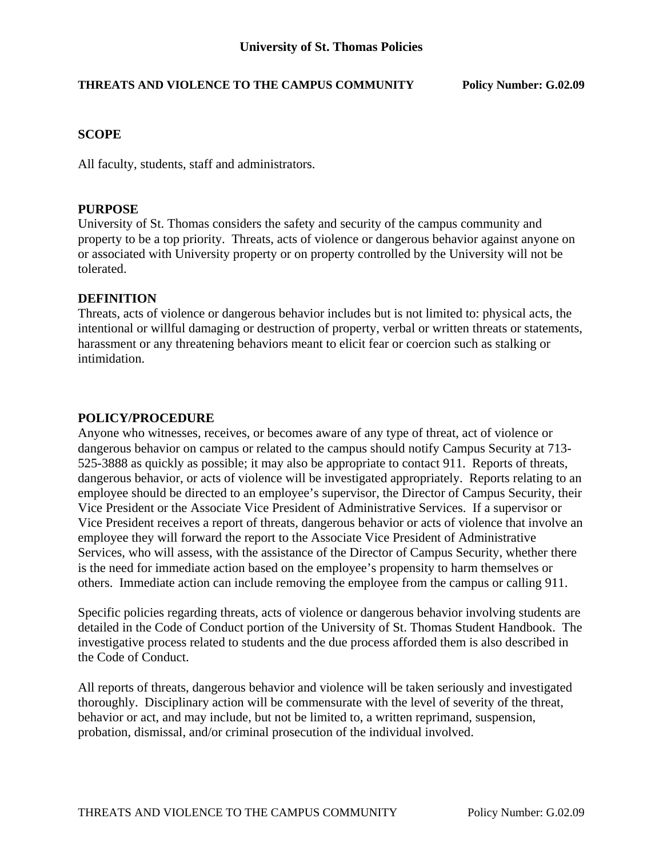# **THREATS AND VIOLENCE TO THE CAMPUS COMMUNITY Policy Number: G.02.09**

# **SCOPE**

All faculty, students, staff and administrators.

### **PURPOSE**

University of St. Thomas considers the safety and security of the campus community and property to be a top priority. Threats, acts of violence or dangerous behavior against anyone on or associated with University property or on property controlled by the University will not be tolerated.

#### **DEFINITION**

Threats, acts of violence or dangerous behavior includes but is not limited to: physical acts, the intentional or willful damaging or destruction of property, verbal or written threats or statements, harassment or any threatening behaviors meant to elicit fear or coercion such as stalking or intimidation.

#### **POLICY/PROCEDURE**

Anyone who witnesses, receives, or becomes aware of any type of threat, act of violence or dangerous behavior on campus or related to the campus should notify Campus Security at 713- 525-3888 as quickly as possible; it may also be appropriate to contact 911. Reports of threats, dangerous behavior, or acts of violence will be investigated appropriately. Reports relating to an employee should be directed to an employee's supervisor, the Director of Campus Security, their Vice President or the Associate Vice President of Administrative Services. If a supervisor or Vice President receives a report of threats, dangerous behavior or acts of violence that involve an employee they will forward the report to the Associate Vice President of Administrative Services, who will assess, with the assistance of the Director of Campus Security, whether there is the need for immediate action based on the employee's propensity to harm themselves or others. Immediate action can include removing the employee from the campus or calling 911.

Specific policies regarding threats, acts of violence or dangerous behavior involving students are detailed in the Code of Conduct portion of the University of St. Thomas Student Handbook. The investigative process related to students and the due process afforded them is also described in the Code of Conduct.

All reports of threats, dangerous behavior and violence will be taken seriously and investigated thoroughly. Disciplinary action will be commensurate with the level of severity of the threat, behavior or act, and may include, but not be limited to, a written reprimand, suspension, probation, dismissal, and/or criminal prosecution of the individual involved.